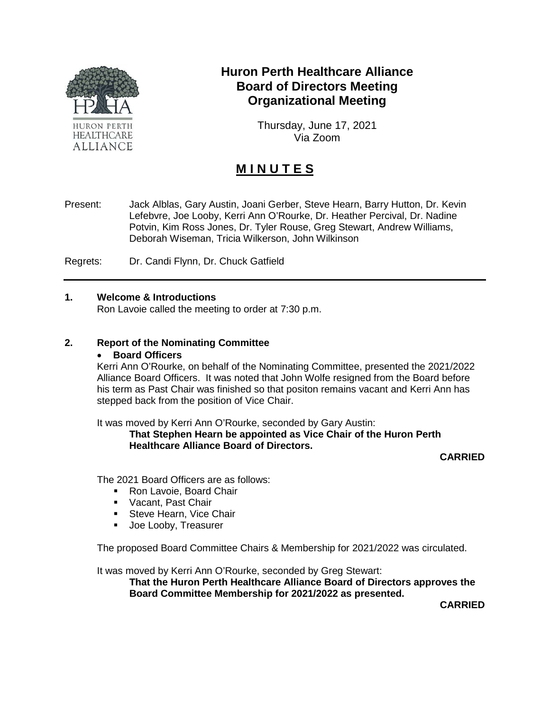

# **Huron Perth Healthcare Alliance Board of Directors Meeting Organizational Meeting**

Thursday, June 17, 2021 Via Zoom

# **M I N U T E S**

Present: Jack Alblas, Gary Austin, Joani Gerber, Steve Hearn, Barry Hutton, Dr. Kevin Lefebvre, Joe Looby, Kerri Ann O'Rourke, Dr. Heather Percival, Dr. Nadine Potvin, Kim Ross Jones, Dr. Tyler Rouse, Greg Stewart, Andrew Williams, Deborah Wiseman, Tricia Wilkerson, John Wilkinson

Regrets: Dr. Candi Flynn, Dr. Chuck Gatfield

#### **1. Welcome & Introductions**

Ron Lavoie called the meeting to order at 7:30 p.m.

## **2. Report of the Nominating Committee**

#### • **Board Officers**

Kerri Ann O'Rourke, on behalf of the Nominating Committee, presented the 2021/2022 Alliance Board Officers. It was noted that John Wolfe resigned from the Board before his term as Past Chair was finished so that positon remains vacant and Kerri Ann has stepped back from the position of Vice Chair.

It was moved by Kerri Ann O'Rourke, seconded by Gary Austin:

## **That Stephen Hearn be appointed as Vice Chair of the Huron Perth Healthcare Alliance Board of Directors.**

**CARRIED**

The 2021 Board Officers are as follows:

- Ron Lavoie, Board Chair
- **Vacant, Past Chair**
- **Steve Hearn, Vice Chair**
- **Joe Looby, Treasurer**

The proposed Board Committee Chairs & Membership for 2021/2022 was circulated.

It was moved by Kerri Ann O'Rourke, seconded by Greg Stewart:

**That the Huron Perth Healthcare Alliance Board of Directors approves the Board Committee Membership for 2021/2022 as presented.** 

**CARRIED**